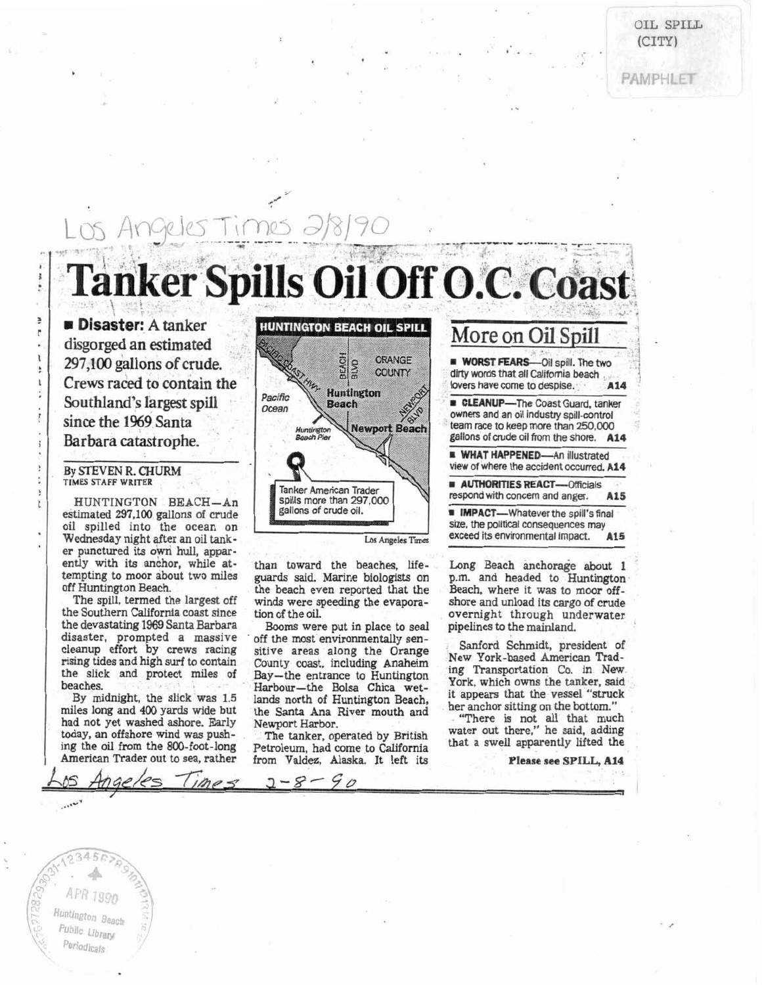OIL **SPILL**   $(CITY)$ 

PAMPHLE

## **Tanker Spills Oil Off O.C. Coast <sup>1</sup>**WORST FEAR .I **297,100 gallons of crude.** I. The two **<sup>a</sup>**? **<sup>7</sup>** ! **Crews raced to contain the**  Crews raced to contain the **Southland's largest spill Facilic** Pacific **Southland's largest spill Facilic Examplement Beach Facilic ELEANUP**—The Coast Guard, tanker since the 1969 Santa **of the 1969 Santa owners** and an oil industry spill-control Barbara catastrophe. **Beach Pier** Beach Pier **School Community** allons of crude oil from the shore. A14

!

e  $\mathbf{r}$ j.

t

oil spilled into the ocean on size, the political consequences may<br>Wednesday pight ofter an oil tank state of the state of the state of the state of the state of the state of the state of the state of the state of the stat Wednesday night after an oil tank- **Los Angeles Times** er punctured its own hull, apparently with its anchor, while at- than toward the beaches, life- Long Beach anchorage about 1

the devastating 1969 Santa Barbara **Booms** were put in place to seal pipelines to the manland.

miles long and 400 yards wide but<br>had not yet washed ashore. Early Newport Harbor. "There is not all that much<br>today, an offshore wind was push-<br>the tanker, operated by British water out there," he said, adding<br>ing the oil

TIMES STAFF WRITER<br> **TRINGER AUTHORITIES REACT—Officials** HUNTINGTON BEACH—An respond with concern and anger. A15<br>timeted 297.100 college of enrich spills more than 297,000 states and anger. Also estimated 297,100 gallons of crude **m IMPACT—Whatever the spill's final** 

disaster, prompted a massive off the most environmentally sen-<br>cleanup effort by crews racing sitive areas along the Orange Sanford Schmidt, president of<br>meing tides and high sum to contain a current of New York-based Amer By midnight, the slick was 1.5 lands north of Huntington Beach, it appears that the vessel "struck<br>like long and 400 vards wide but

American Trader out to sea, rather from Valdez, Alaska. It left its

team race to keep more than 250.000 **WHAT HAPPENED-An illustrated By STEVEN R. CHURM <b>REGISTION CHURM view of where the accident occurred. A14** 

tempting to moor about two miles guards said. Marine biologists on p.m. and headed to Huntington off Huntington Beach. the beach even reported that the Beach, where it was to moor off-The spill, termed the largest off winds were speeding the evapora- shore and unload its cargo of crude the Southern California coast since tion of the oil. overnight through underwater

rising tides and high surf to contain County coast, including Anaheim New York-based American Trad-<br>the slick and protect miles of Bay—the entrance to Huntington Transportation Co. in New<br>beaches. Harbour—the Bolsa Chica w

**Please see SPILL, A14** 

, , ..'..\* ,. ungton p<sub>rest</sub>  $\overline{P}$  Public Library Periodicals

.....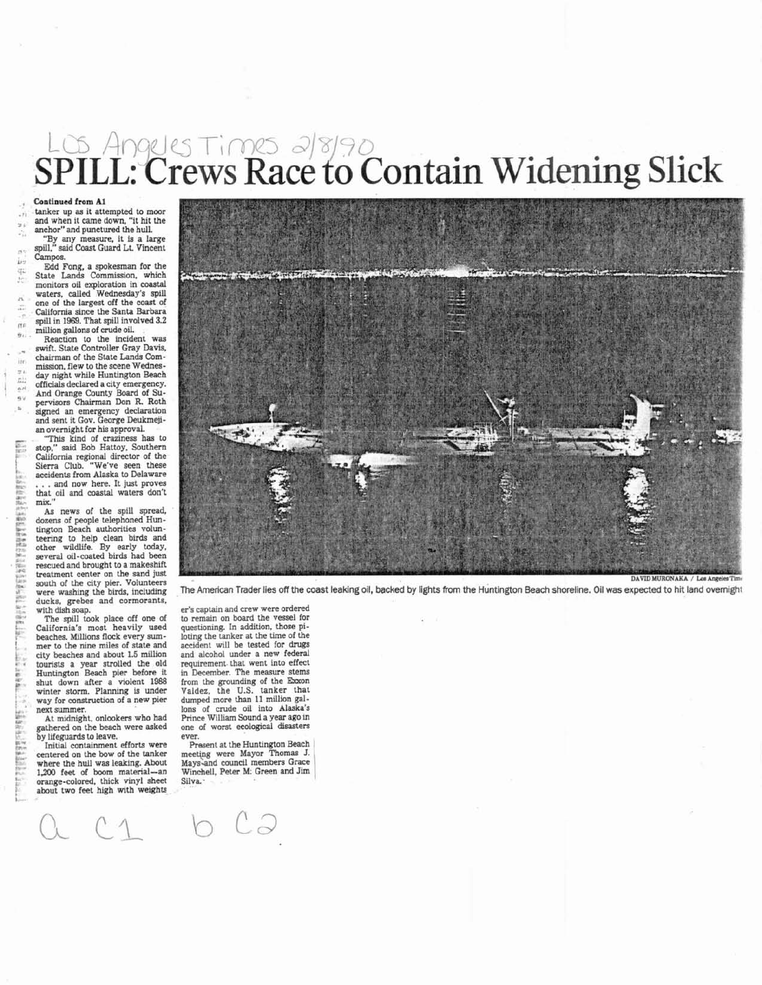# $\frac{2}{3}$ SPILL: Crews Race to Contain Widening Slick

 $2n$ 

T. it.

 $n<sub>0</sub>$  $\mathbf{q}_{11}$ 

iin  $F^{11}$  **Continued** from **A1**  and when it came down, "it hit the anchor" and punctured the hull.

"By any measure. it is a large spill." said Coast Guard **Lf** Vincent Campos.

Edd Fong, a spokesman for the State Lands Commission, which monitors oil exploration in coastal waters, called Wednesday's spill one of the largest off the coast of California since the Santa Barbara spill in 1969. That spill involved 3.2<br>million gallons of crude oil.

**Reaction** to the incident was swift. State Controller Gray Davis. chairman of the State Lands Commission, flew to the scene Wednesday night while Huntington Beach officials declared a city emergency. And Orange County Board of Su-pervisors Chairman Don R. Roth signed an emergency declaration and sent it Gov. George Deukmeji-

an overnight for his approval. "This kind of craziness has to stop," said Bob Hattoy. Southern California regional director of the Sierra Club. "We've seen these accidents from Alaska to Delaware . . . and now here. It just proves that oil and coastal waters don't mix.

**As** news of the spill spread. dozens of people telephoned Huntington Beach authorities volunteering to help clean birds and<br>other wildlife. By early today,<br>several oil-coated birds had been rescued and brought to a makeshift treatment center on the sand just<br>south of the city pier. Volunteers were washing the birds, including ducks, grebes and cormorants,

with dish soap. The spill took place off one of California's most heavily used<br>beaches. Millions flock every summer to the nine miles of state and city beaches and about **1.5** million tourists a year strolled the old Huntington Beach pier before it shut down after a violent **1988**  winter storm. Planning is under way for construction of a new pier next summer.

At midnight. onlookers who had gathered on the beach were asked by lifeguards to leave.

Initial containment efforts were centered on the bow of the tanker where the hull was leaking. About 1,200 feet of boom material-an orange-colored, thick vinyl sheet about two feet high with weights



The American Trader lies off the coast leaking oil, backed by lights from the Huntington Beach shoreline. Oil was expected to hit land overnight

er's captain and crew were ordered to remain on board the vessel for questioning. In addition, those piloting the tanker at the time of the accident will be tested for **drugs**  and alcohol under a new federal requirement. that went into effect in December. The measure stems from the grounding of the Exxon<br>Valdez, the U.S. tanker that dumped more than **11** million gallons of crude oil into Alaska's one of worst ecological disasters ever.

Present at the Huntington Beach<br>meeting were Mayor Thomas J. Mays-and council members Grace Winchell, Peter M: Green and Jim |<br>Silva.

o CJ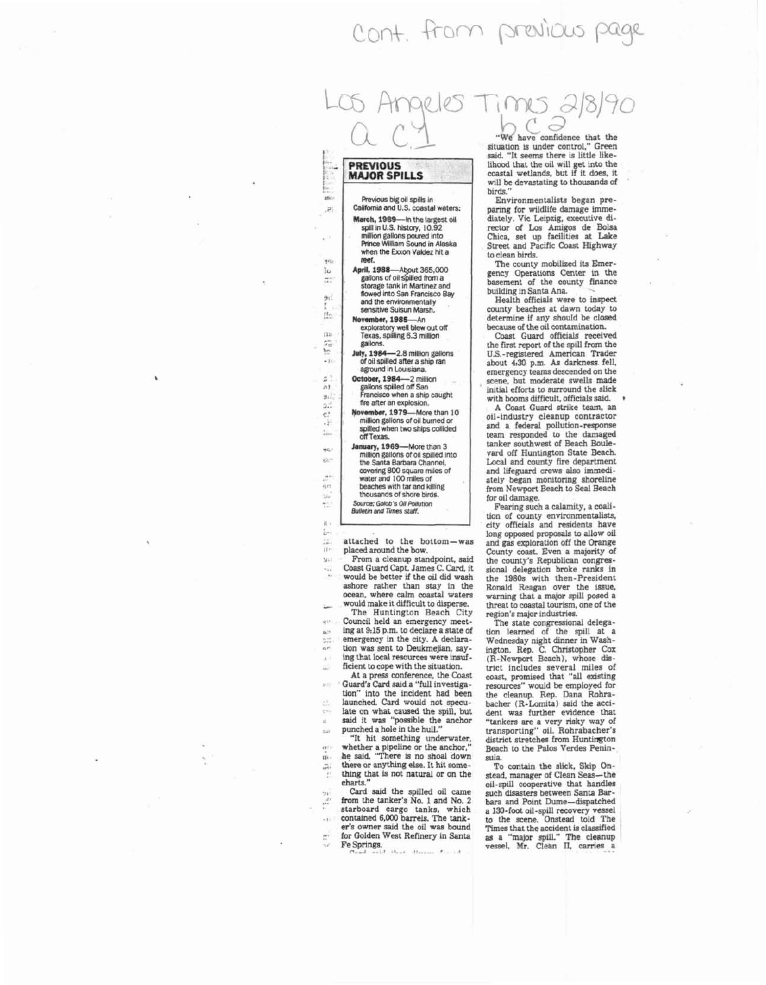## Cont. from previous



### **PREVIOUS MAJOR SPILLS**

.Þ.

rea's ìυ  $\overline{a}$  $91$  $\mu_0$ n.  $\frac{5}{2}$ G.  $\mathfrak{g}$  ?  $n1$  $g_{11}$  $5.1$  $\mathbf{c}$ J) MA. чc. is.

ήn

Ь  $\sigma$   $\sigma$  $\tilde{\mathbf{H}}$ Mil

181

 $\mathbf{p}_i^{\star}$  $-100$ 

iji.  $\overline{\omega}$ 

Revious blg oil spills in California and **U.S.** coastal waten: **March. 1989-In the largest oil** spill in U.S. history, 10.92 rnlllion gallons poured into Fnnce William Sound in Alaska when the Exxon Valdez hit a<br>**reef. April, 1988**—About 365,000

April, 1988-Am **365,000** gallons of oilspllled from a storage tank in Martinez and flowed into San Francisco Bay<br>and the environmentally sensitive Suisun Marsh.

**November,** 1985-An exploratofy well blew **out** off Texas. spilling 6.3 mlllion

gallons.<br>July, 1984-**Jab,** 1964-2.8 milllon gallons of oil spllled aRer a ship ran aground in Louisiana.

October, 1984-2 million gallons spllled off San Francisco when a shlp caught fire **after** an explosion.

**November.** 1979-More than 10 million gallons of oil burned or<br>spilled when two ships collided off Texas.<br>January, 1969—More than 3

million gallons of oil spilled into the Santa Barbara Channel,<br>covering 800 square miles of water and 100 miles of

beaches with tar and killing<br>thousands of shore birds.

*Thousands of shore bird:*<br> **Source: Golob's Oil Pollution**<br> **Bulletin and Times staff.** 

attached to the bottom-was placed around the bow.

From a cleanup standpoint, said Coast Guard Capt. James C. Card. it would be better if the oil did wash whole rather than stay in the ocean, where calm coastal waters would make it difficult to disperse.

The Huntington Beach City Council held an emergency meeting at 815 p.m. to declare a state of emergency in the city. A declaration was sent to Deukmejian, saying that local resources were insuf ficient to cope with the situation.

At a press conference, the Coast Guard's Card said a "full investigation" into the incident had been launched. Card would not speculate on what caused the spill, but said it was "possible the anchor punched a hole in the hull."

"It hit something underwater. whether a pipeline or the anchor." he said "There 1s no shoal down there or anything else. It hit some-<br>thing that is not natural or on the charts."

Card said the spilled oil came from the tanker's No. 1 and No. 2 starboard cargo tanks, which contained 6.000 barrels. The tanker's owner said the oil was bound for Golden West Refinery in Santa<br>Fe Springs.

*"We* have confidence that the situation is under control," Green said. "It seems there is little likelihood that the oil will get into the coastal wetlands, but if it does. it will be devastating to thousands of birds."

Environmentalists began preparing for wildlife damage imme-<br>diately. Vic Leipzig, executive didiately. Vic Leipzig. executive di- rector of Los Amigos de Bolsa Chica, set up facilities at Lake Street and Pacific Coast Highway to clean birds.

The county mobilized its Emergency Operations Center in the basement of the county finance building in Santa Ana.

Health officials were to inspect ' county beaches at dawn today to determine if any should be closed because of the oil contamination.

Coast Guard officials received the first report of the spill from the US.-registered Amencan Trader about 4:30 p.m. **As** darkness. fell. emergency teams descended on the scene, but moderate swells made initial efforts to surround the slick with booms difficult, officials said.<br>A Coast Guard strike team, an

A Coast Guard strike team. an oil-industry cleanup contractor and a federal pollution-response team responded to the damaged tanker southwest of Beach Boulevard off Huntington State Beach. Local and county fire department and lifeguard crews also immediately began monitoring shoreline from Newport Beach to Seal Beach for oil damage.

Fearing such a calamity, a coalition of county environmentalists, city officials and residents have long opposed proposals to allow oil and gas exploration off the Orange County coast. Even a majority of the county's Republican congressional delegation broke ranks in the 1980s with then-President Ronald Reagan over the issue,<br>warning that a major spill posed a threat to coastal tourism, one of the region's major industries.

The state congressional delega-<br>tion learned of the spill at a tion learned of the spill at a Wednesday night dinner in Wash-ington. Rep. C. Christopher COX (R-Newport Beach), whose district includes several miles of coast. promised that **"all** existing resources" would be employed for the cleanup. Rep. Dana Rohra-bacher (R-Lomita) said the accident was further evidence that "tankers are a very risky way of transporting" oil. Rohrabacher's district stretches from Huntington Beach to the Palos Verdes Peninsula.

To contain the slick, Skip **On**stead, manager of Clean Seas-the oil-spill cooperative that handles<br>such disasters between Santa Barbara and Point Dume-dispatched<br>a 130-foot oil-spill recovery vessel<br>to the scene. Onstead told The Times that the accident is classified<br>as a "major spill." The cleanup<br>vessel. Mr. Clean II, carries a